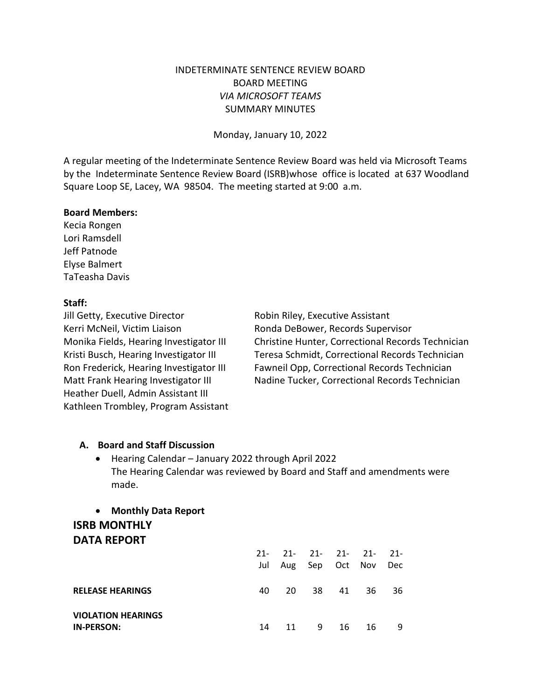# INDETERMINATE SENTENCE REVIEW BOARD BOARD MEETING *VIA MICROSOFT TEAMS* SUMMARY MINUTES

Monday, January 10, 2022

A regular meeting of the Indeterminate Sentence Review Board was held via Microsoft Teams by the Indeterminate Sentence Review Board (ISRB)whose office is located at 637 Woodland Square Loop SE, Lacey, WA 98504. The meeting started at 9:00 a.m.

### **Board Members:**

Kecia Rongen Lori Ramsdell Jeff Patnode Elyse Balmert TaTeasha Davis

### **Staff:**

Jill Getty, Executive Director **Robin Riley**, Executive Assistant Kerri McNeil, Victim Liaison Ronda DeBower, Records Supervisor Heather Duell, Admin Assistant III Kathleen Trombley, Program Assistant

Monika Fields, Hearing Investigator III Christine Hunter, Correctional Records Technician Kristi Busch, Hearing Investigator III Teresa Schmidt, Correctional Records Technician Ron Frederick, Hearing Investigator III Fawneil Opp, Correctional Records Technician Matt Frank Hearing Investigator III Nadine Tucker, Correctional Records Technician

### **A. Board and Staff Discussion**

• Hearing Calendar – January 2022 through April 2022 The Hearing Calendar was reviewed by Board and Staff and amendments were made.

# • **Monthly Data Report ISRB MONTHLY DATA REPORT**

|                                                | $21 -$ |      | $21 - 21 - 21 - 21 - 21 -$<br>Jul Aug Sep Oct Nov |    |       | Dec |
|------------------------------------------------|--------|------|---------------------------------------------------|----|-------|-----|
| <b>RELEASE HEARINGS</b>                        | 40     | 20 L | 38                                                |    | 41 36 | -36 |
| <b>VIOLATION HEARINGS</b><br><b>IN-PERSON:</b> | 14     | 11   | - 9                                               | 16 | 16    | - 9 |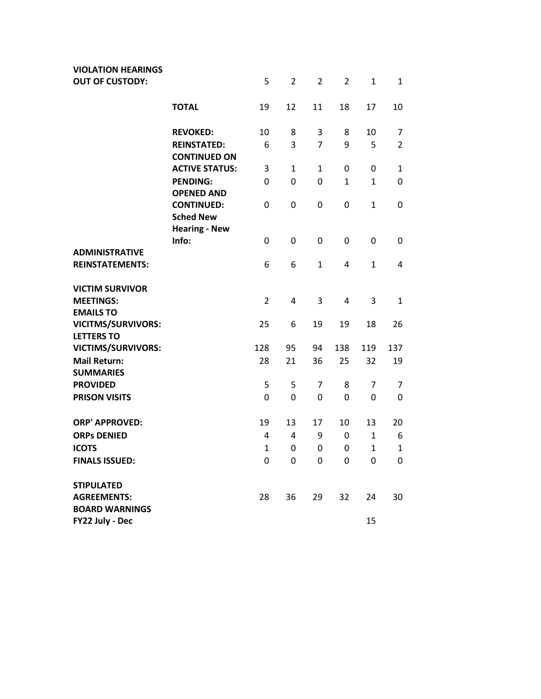| <b>VIOLATION HEARINGS</b>               |                                              |                |                |                |                |              |                |
|-----------------------------------------|----------------------------------------------|----------------|----------------|----------------|----------------|--------------|----------------|
| <b>OUT OF CUSTODY:</b>                  |                                              | 5              | $\overline{2}$ | 2              | $\overline{2}$ | 1            | $\mathbf{1}$   |
|                                         | <b>TOTAL</b>                                 | 19             | 12             | 11             | 18             | 17           | 10             |
|                                         | <b>REVOKED:</b>                              | 10             | 8              | 3              | 8              | 10           | 7              |
|                                         | <b>REINSTATED:</b>                           | 6              | 3              | $\overline{7}$ | 9              | 5            | $\overline{2}$ |
|                                         | <b>CONTINUED ON</b><br><b>ACTIVE STATUS:</b> | 3              | $\mathbf{1}$   | $\mathbf{1}$   | 0              | 0            | $\mathbf{1}$   |
|                                         | <b>PENDING:</b><br><b>OPENED AND</b>         | 0              | 0              | 0              | 1              | $\mathbf{1}$ | 0              |
|                                         | <b>CONTINUED:</b><br><b>Sched New</b>        | 0              | 0              | 0              | 0              | $\mathbf{1}$ | 0              |
|                                         | <b>Hearing - New</b>                         |                |                |                |                |              |                |
| <b>ADMINISTRATIVE</b>                   | Info:                                        | 0              | 0              | 0              | 0              | 0            | 0              |
| <b>REINSTATEMENTS:</b>                  |                                              | 6              | 6              | $\mathbf{1}$   | 4              | 1            | 4              |
| <b>VICTIM SURVIVOR</b>                  |                                              |                |                |                |                |              |                |
| <b>MEETINGS:</b><br><b>EMAILS TO</b>    |                                              | $\overline{2}$ | $\overline{4}$ | 3              | 4              | 3            | $\mathbf{1}$   |
| <b>VICITMS/SURVIVORS:</b>               |                                              | 25             | 6              | 19             | 19             | 18           | 26             |
| <b>LETTERS TO</b>                       |                                              |                |                |                |                |              |                |
| <b>VICTIMS/SURVIVORS:</b>               |                                              | 128            | 95             | 94             | 138            | 119          | 137            |
| <b>Mail Return:</b><br><b>SUMMARIES</b> |                                              | 28             | 21             | 36             | 25             | 32           | 19             |
| <b>PROVIDED</b>                         |                                              | 5              | 5              | 7              | 8              | 7            | 7              |
| <b>PRISON VISITS</b>                    |                                              | 0              | $\overline{0}$ | 0              | 0              | 0            | 0              |
| <b>ORP' APPROVED:</b>                   |                                              | 19             | 13             | 17             | 10             | 13           | 20             |
| <b>ORPs DENIED</b>                      |                                              | 4              | 4              | 9              | 0              | $\mathbf{1}$ | 6              |
| <b>ICOTS</b>                            |                                              | $\mathbf{1}$   | 0              | 0              | 0              | $\mathbf{1}$ | 1              |
| <b>FINALS ISSUED:</b>                   |                                              | 0              | $\mathbf 0$    | $\overline{0}$ | $\mathsf 0$    | $\mathbf 0$  | $\pmb{0}$      |
| <b>STIPULATED</b>                       |                                              |                |                |                |                |              |                |
| <b>AGREEMENTS:</b>                      |                                              | 28             | 36             | 29             | 32             | 24           | 30             |
| <b>BOARD WARNINGS</b>                   |                                              |                |                |                |                |              |                |
| FY22 July - Dec                         |                                              |                |                |                |                | 15           |                |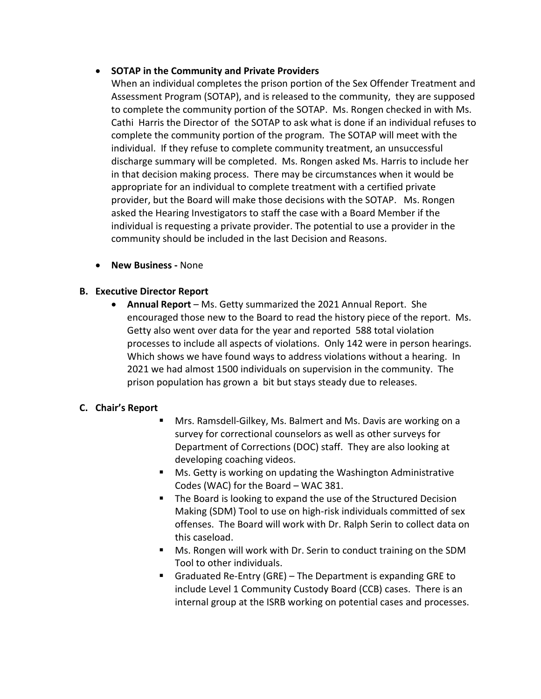## • **SOTAP in the Community and Private Providers**

When an individual completes the prison portion of the Sex Offender Treatment and Assessment Program (SOTAP), and is released to the community, they are supposed to complete the community portion of the SOTAP. Ms. Rongen checked in with Ms. Cathi Harris the Director of the SOTAP to ask what is done if an individual refuses to complete the community portion of the program. The SOTAP will meet with the individual. If they refuse to complete community treatment, an unsuccessful discharge summary will be completed. Ms. Rongen asked Ms. Harris to include her in that decision making process. There may be circumstances when it would be appropriate for an individual to complete treatment with a certified private provider, but the Board will make those decisions with the SOTAP. Ms. Rongen asked the Hearing Investigators to staff the case with a Board Member if the individual is requesting a private provider. The potential to use a provider in the community should be included in the last Decision and Reasons.

• **New Business -** None

## **B. Executive Director Report**

• **Annual Report** – Ms. Getty summarized the 2021 Annual Report. She encouraged those new to the Board to read the history piece of the report. Ms. Getty also went over data for the year and reported 588 total violation processes to include all aspects of violations. Only 142 were in person hearings. Which shows we have found ways to address violations without a hearing. In 2021 we had almost 1500 individuals on supervision in the community. The prison population has grown a bit but stays steady due to releases.

# **C. Chair's Report**

- Mrs. Ramsdell-Gilkey, Ms. Balmert and Ms. Davis are working on a survey for correctional counselors as well as other surveys for Department of Corrections (DOC) staff. They are also looking at developing coaching videos.
- Ms. Getty is working on updating the Washington Administrative Codes (WAC) for the Board – WAC 381.
- The Board is looking to expand the use of the Structured Decision Making (SDM) Tool to use on high-risk individuals committed of sex offenses. The Board will work with Dr. Ralph Serin to collect data on this caseload.
- Ms. Rongen will work with Dr. Serin to conduct training on the SDM Tool to other individuals.
- Graduated Re-Entry (GRE) The Department is expanding GRE to include Level 1 Community Custody Board (CCB) cases. There is an internal group at the ISRB working on potential cases and processes.